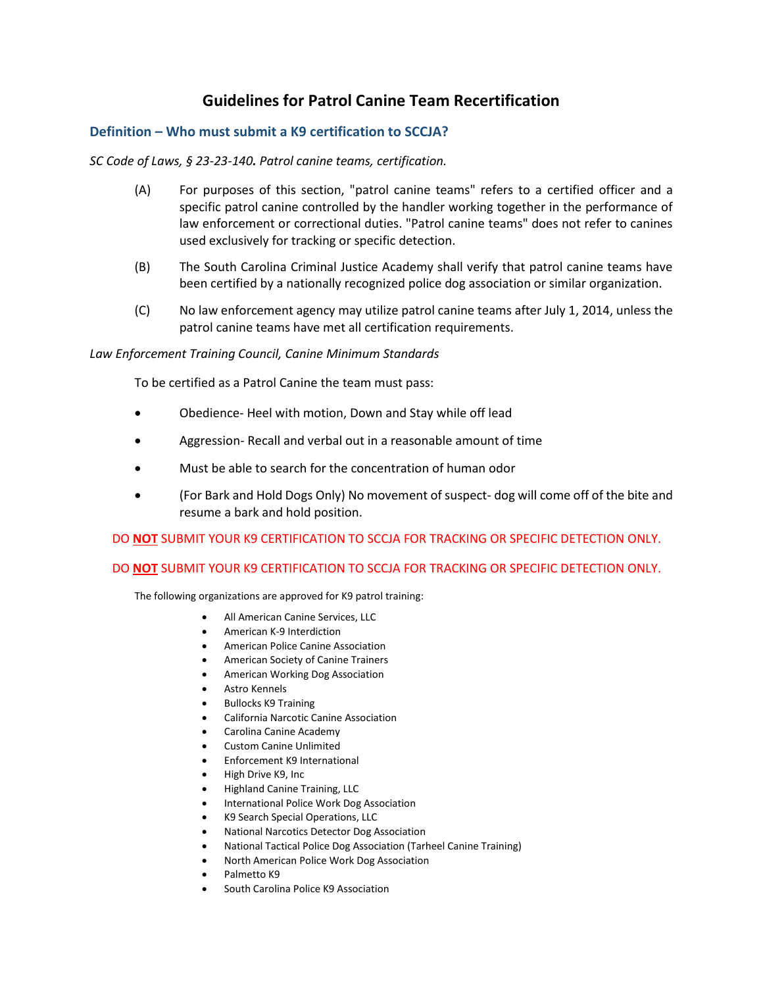# **Guidelines for Patrol Canine Team Recertification**

## **Definition – Who must submit a K9 certification to SCCJA?**

## *SC Code of Laws, § 23-23-140. Patrol canine teams, certification.*

- (A) For purposes of this section, "patrol canine teams" refers to a certified officer and a specific patrol canine controlled by the handler working together in the performance of law enforcement or correctional duties. "Patrol canine teams" does not refer to canines used exclusively for tracking or specific detection.
- (B) The South Carolina Criminal Justice Academy shall verify that patrol canine teams have been certified by a nationally recognized police dog association or similar organization.
- (C) No law enforcement agency may utilize patrol canine teams after July 1, 2014, unless the patrol canine teams have met all certification requirements.

#### *Law Enforcement Training Council, Canine Minimum Standards*

To be certified as a Patrol Canine the team must pass:

- Obedience- Heel with motion, Down and Stay while off lead
- Aggression- Recall and verbal out in a reasonable amount of time
- Must be able to search for the concentration of human odor
- (For Bark and Hold Dogs Only) No movement of suspect- dog will come off of the bite and resume a bark and hold position.

DO **NOT** SUBMIT YOUR K9 CERTIFICATION TO SCCJA FOR TRACKING OR SPECIFIC DETECTION ONLY.

## DO **NOT** SUBMIT YOUR K9 CERTIFICATION TO SCCJA FOR TRACKING OR SPECIFIC DETECTION ONLY.

The following organizations are approved for K9 patrol training:

- All American Canine Services, LLC
- American K-9 Interdiction
- American Police Canine Association
- American Society of Canine Trainers
- American Working Dog Association
- Astro Kennels
- Bullocks K9 Training
- California Narcotic Canine Association
- Carolina Canine Academy
- Custom Canine Unlimited
- Enforcement K9 International
- High Drive K9, Inc
- Highland Canine Training, LLC
- International Police Work Dog Association
- K9 Search Special Operations, LLC
- National Narcotics Detector Dog Association
- National Tactical Police Dog Association (Tarheel Canine Training)
- North American Police Work Dog Association
- Palmetto K9
- South Carolina Police K9 Association